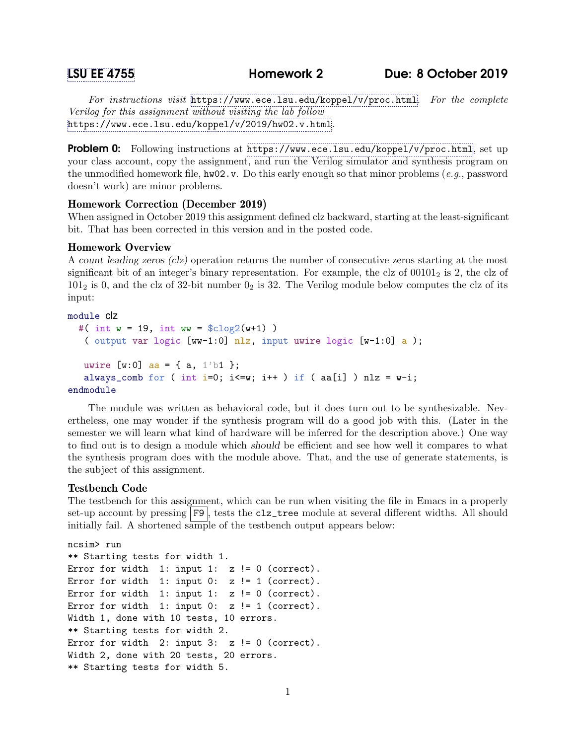For instructions visit <https://www.ece.lsu.edu/koppel/v/proc.html>. For the complete Verilog for this assignment without visiting the lab follow <https://www.ece.lsu.edu/koppel/v/2019/hw02.v.html>.

Problem 0: Following instructions at <https://www.ece.lsu.edu/koppel/v/proc.html>, set up your class account, copy the assignment, and run the Verilog simulator and synthesis program on the unmodified homework file,  $hw02.v$ . Do this early enough so that minor problems (e.g., password doesn't work) are minor problems.

# Homework Correction (December 2019)

When assigned in October 2019 this assignment defined clz backward, starting at the least-significant bit. That has been corrected in this version and in the posted code.

# Homework Overview

A count leading zeros (clz) operation returns the number of consecutive zeros starting at the most significant bit of an integer's binary representation. For example, the clz of  $00101<sub>2</sub>$  is 2, the clz of  $101<sub>2</sub>$  is 0, and the clz of 32-bit number  $0<sub>2</sub>$  is 32. The Verilog module below computes the clz of its input:

### module clz

```
#( int w = 19, int ww = $c \log(2(w+1)))
   ( output var logic [ww-1:0] nlz, input uwire logic [w-1:0] a );
   uwire [w:0] aa = { a, 1'b1 };
   always_comb for ( int i=0; i <= w; i + + ) if ( aa[i] ) nlz = w-i;
endmodule
```
The module was written as behavioral code, but it does turn out to be synthesizable. Nevertheless, one may wonder if the synthesis program will do a good job with this. (Later in the semester we will learn what kind of hardware will be inferred for the description above.) One way to find out is to design a module which should be efficient and see how well it compares to what the synthesis program does with the module above. That, and the use of generate statements, is the subject of this assignment.

### Testbench Code

The testbench for this assignment, which can be run when visiting the file in Emacs in a properly set-up account by pressing F9, tests the clz\_tree module at several different widths. All should initially fail. A shortened sample of the testbench output appears below:

```
ncsim> run
** Starting tests for width 1.
Error for width 1: input 1: z != 0 (correct).
Error for width 1: input 0: z != 1 (correct).
Error for width 1: input 1: z != 0 (correct).
Error for width 1: input 0: z != 1 (correct).
Width 1, done with 10 tests, 10 errors.
** Starting tests for width 2.
Error for width 2: input 3: z != 0 (correct).
Width 2, done with 20 tests, 20 errors.
** Starting tests for width 5.
```